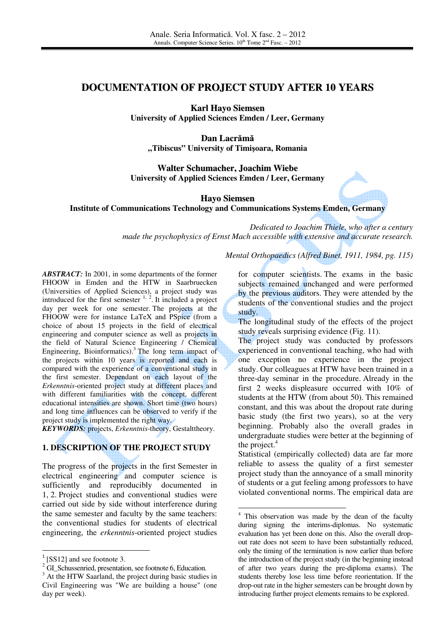# **DOCUMENTATION OF PROJECT STUDY AFTER 10 YEARS**

**Karl Hayo Siemsen**

**University of Applied Sciences Emden / Leer, Germany**

**Dan Lacr**ă**m**ă **"Tibiscus" University of Timi**ş**oara, Romania** 

**Walter Schumacher, Joachim Wiebe University of Applied Sciences Emden / Leer, Germany**

**Hayo Siemsen Institute of Communications Technology and Communications Systems Emden, Germany**

-

*Dedicated to Joachim Thiele, who after a century made the psychophysics of Ernst Mach accessible with extensive and accurate research.* 

*Mental Orthopaedics (Alfred Binet, 1911, 1984, pg. 115)*

*ABSTRACT:* In 2001, in some departments of the former FHOOW in Emden and the HTW in Saarbruecken (Universities of Applied Sciences), a project study was introduced for the first semester  $1, 2$ . It included a project day per week for one semester. The projects at the FHOOW were for instance LaTeX and PSpice (from a choice of about 15 projects in the field of electrical engineering and computer science as well as projects in the field of Natural Science Engineering / Chemical Engineering, Bioinformatics).<sup>3</sup> The long term impact of the projects within 10 years is reported and each is compared with the experience of a conventional study in the first semester. Dependant on each layout of the *Erkenntnis*-oriented project study at different places and with different familiarities with the concept, different educational intensities are shown. Short time (two hours) and long time influences can be observed to verify if the project study is implemented the right way.

*KEYWORDS:* projects, *Erkenntnis*-theory, Gestalttheory.

#### **1. DESCRIPTION OF THE PROJECT STUDY**

The progress of the projects in the first Semester in electrical engineering and computer science is sufficiently and reproducibly documented in 1, 2. Project studies and conventional studies were carried out side by side without interference during the same semester and faculty by the same teachers: the conventional studies for students of electrical engineering, the *erkenntnis*-oriented project studies

<u>.</u>

for computer scientists. The exams in the basic subjects remained unchanged and were performed by the previous auditors. They were attended by the students of the conventional studies and the project study.

The longitudinal study of the effects of the project study reveals surprising evidence (Fig. 11).

The project study was conducted by professors experienced in conventional teaching, who had with one exception no experience in the project study. Our colleagues at HTW have been trained in a three-day seminar in the procedure. Already in the first 2 weeks displeasure occurred with 10% of students at the HTW (from about 50). This remained constant, and this was about the dropout rate during basic study (the first two years), so at the very beginning. Probably also the overall grades in undergraduate studies were better at the beginning of the project.<sup>4</sup>

Statistical (empirically collected) data are far more reliable to assess the quality of a first semester project study than the annoyance of a small minority of students or a gut feeling among professors to have violated conventional norms. The empirical data are

<sup>&</sup>lt;sup>1</sup> [SS12] and see footnote 3.

<sup>&</sup>lt;sup>2</sup> GI\_Schussenried, presentation, see footnote 6, Education.

<sup>&</sup>lt;sup>3</sup> At the HTW Saarland, the project during basic studies in Civil Engineering was "We are building a house" (one day per week).

<sup>&</sup>lt;sup>4</sup> This observation was made by the dean of the faculty during signing the interims-diplomas. No systematic evaluation has yet been done on this. Also the overall dropout rate does not seem to have been substantially reduced, only the timing of the termination is now earlier than before the introduction of the project study (in the beginning instead of after two years during the pre-diploma exams). The students thereby lose less time before reorientation. If the drop-out rate in the higher semesters can be brought down by introducing further project elements remains to be explored.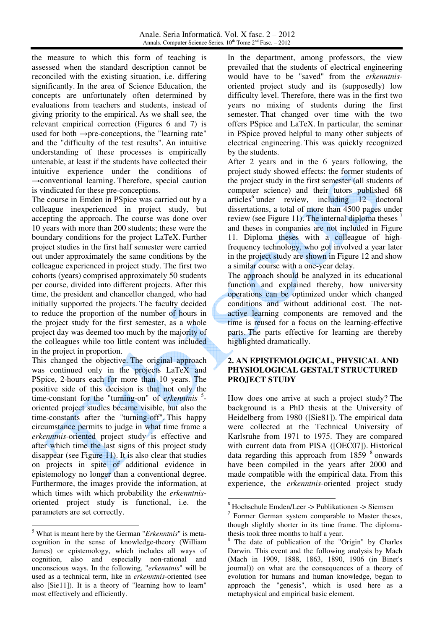the measure to which this form of teaching is assessed when the standard description cannot be reconciled with the existing situation, i.e. differing significantly. In the area of Science Education, the concepts are unfortunately often determined by evaluations from teachers and students, instead of giving priority to the empirical. As we shall see, the relevant empirical correction (Figures 6 and 7) is used for both  $\rightarrow$ pre-conceptions, the "learning rate" and the "difficulty of the test results". An intuitive understanding of these processes is empirically untenable, at least if the students have collected their intuitive experience under the conditions of  $\rightarrow$ conventional learning. Therefore, special caution is vindicated for these pre-conceptions.

The course in Emden in PSpice was carried out by a colleague inexperienced in project study, but accepting the approach. The course was done over 10 years with more than 200 students; these were the boundary conditions for the project LaTeX. Further project studies in the first half semester were carried out under approximately the same conditions by the colleague experienced in project study. The first two cohorts (years) comprised approximately 50 students per course, divided into different projects. After this time, the president and chancellor changed, who had initially supported the projects. The faculty decided to reduce the proportion of the number of hours in the project study for the first semester, as a whole project day was deemed too much by the majority of the colleagues while too little content was included in the project in proportion.

This changed the objective. The original approach was continued only in the projects LaTeX and PSpice, 2-hours each for more than 10 years. The positive side of this decision is that not only the time-constant for the "turning-on" of *erkenntnis* <sup>5</sup> oriented project studies became visible, but also the time-constants after the "turning-off". This happy circumstance permits to judge in what time frame a *erkenntnis*-oriented project study is effective and after which time the last signs of this project study disappear (see Figure 11). It is also clear that studies on projects in spite of additional evidence in epistemology no longer than a conventional degree. Furthermore, the images provide the information, at which times with which probability the *erkenntnis*oriented project study is functional, i.e. the parameters are set correctly.

5 What is meant here by the German "*Erkenntnis*" is metacognition in the sense of knowledge-theory (William James) or epistemology, which includes all ways of cognition, also and especially non-rational and unconscious ways. In the following, "*erkenntnis*" will be used as a technical term, like in *erkenntnis*-oriented (see also [Sie11]). It is a theory of "learning how to learn" most effectively and efficiently.

l

In the department, among professors, the view prevailed that the students of electrical engineering would have to be "saved" from the *erkenntnis*oriented project study and its (supposedly) low difficulty level. Therefore, there was in the first two years no mixing of students during the first semester. That changed over time with the two offers PSpice and LaTeX. In particular, the seminar in PSpice proved helpful to many other subjects of electrical engineering. This was quickly recognized by the students.

After 2 years and in the 6 years following, the project study showed effects: the former students of the project study in the first semester (all students of computer science) and their tutors published 68 articles<sup>6</sup> under review, including 12 doctoral dissertations, a total of more than 4500 pages under review (see Figure 11). The internal diploma theses <sup>7</sup> and theses in companies are not included in Figure 11. Diploma theses with a colleague of highfrequency technology, who got involved a year later in the project study are shown in Figure 12 and show a similar course with a one-year delay.

The approach should be analyzed in its educational function and explained thereby, how university operations can be optimized under which changed conditions and without additional cost. The notactive learning components are removed and the time is reused for a focus on the learning-effective parts. The parts effective for learning are thereby highlighted dramatically.

## **2. AN EPISTEMOLOGICAL, PHYSICAL AND PHYSIOLOGICAL GESTALT STRUCTURED PROJECT STUDY**

How does one arrive at such a project study? The background is a PhD thesis at the University of Heidelberg from 1980 ([Sie81]). The empirical data were collected at the Technical University of Karlsruhe from 1971 to 1975. They are compared with current data from PISA ([OEC07]). Historical data regarding this approach from  $1859$   $8$  onwards have been compiled in the years after 2000 and made compatible with the empirical data. From this experience, the *erkenntnis*-oriented project study

<sup>6</sup> Hochschule Emden/Leer -> Publikationen -> Siemsen

<sup>7</sup> Former German system comparable to Master theses, though slightly shorter in its time frame. The diplomathesis took three months to half a year.

<sup>8</sup> The date of publication of the "Origin" by Charles Darwin. This event and the following analysis by Mach (Mach in 1909, 1888, 1863, 1890, 1906 (in Binet's journal)) on what are the consequences of a theory of evolution for humans and human knowledge, began to approach the "genesis", which is used here as a metaphysical and empirical basic element.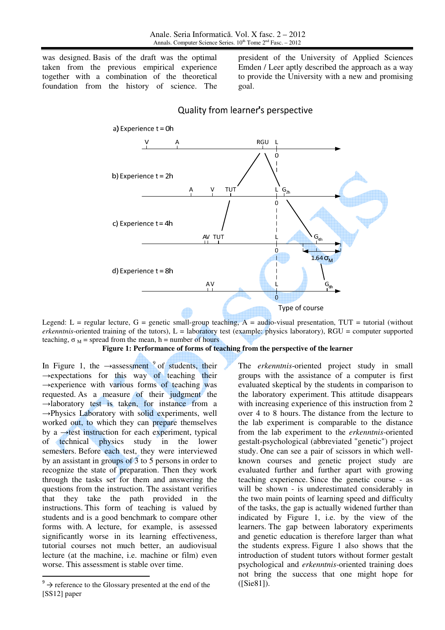was designed. Basis of the draft was the optimal taken from the previous empirical experience together with a combination of the theoretical foundation from the history of science. The

president of the University of Applied Sciences Emden / Leer aptly described the approach as a way to provide the University with a new and promising goal.



# Quality from learner's perspective

Legend: L = regular lecture, G = genetic small-group teaching,  $A =$  audio-visual presentation, TUT = tutorial (without *erkenntnis*-oriented training of the tutors), L = laboratory test (example: physics laboratory), RGU = computer supported teaching,  $\sigma_M$  = spread from the mean, h = number of hours

**Figure 1: Performance of forms of teaching from the perspective of the learner** 

In Figure 1, the  $\rightarrow$ assessment  $9$  of students, their  $\rightarrow$ expectations for this way of teaching their →experience with various forms of teaching was requested. As a measure of their judgment the  $\rightarrow$ laboratory test is taken, for instance from a  $\rightarrow$ Physics Laboratory with solid experiments, well worked out, to which they can prepare themselves by a  $\rightarrow$ test instruction for each experiment, typical of technical physics study in the lower semesters. Before each test, they were interviewed by an assistant in groups of 3 to 5 persons in order to recognize the state of preparation. Then they work through the tasks set for them and answering the questions from the instruction. The assistant verifies that they take the path provided in the instructions. This form of teaching is valued by students and is a good benchmark to compare other forms with. A lecture, for example, is assessed significantly worse in its learning effectiveness, tutorial courses not much better, an audiovisual lecture (at the machine, i.e. machine or film) even worse. This assessment is stable over time.

<u>.</u>

The *erkenntnis*-oriented project study in small groups with the assistance of a computer is first evaluated skeptical by the students in comparison to the laboratory experiment. This attitude disappears with increasing experience of this instruction from 2 over 4 to 8 hours. The distance from the lecture to the lab experiment is comparable to the distance from the lab experiment to the *erkenntnis*-oriented gestalt-psychological (abbreviated "genetic") project study. One can see a pair of scissors in which wellknown courses and genetic project study are evaluated further and further apart with growing teaching experience. Since the genetic course - as will be shown - is underestimated considerably in the two main points of learning speed and difficulty of the tasks, the gap is actually widened further than indicated by Figure 1, i.e. by the view of the learners. The gap between laboratory experiments and genetic education is therefore larger than what the students express. Figure 1 also shows that the introduction of student tutors without former gestalt psychological and *erkenntnis*-oriented training does not bring the success that one might hope for ([Sie81]).

 $9^9 \rightarrow$  reference to the Glossary presented at the end of the [SS12] paper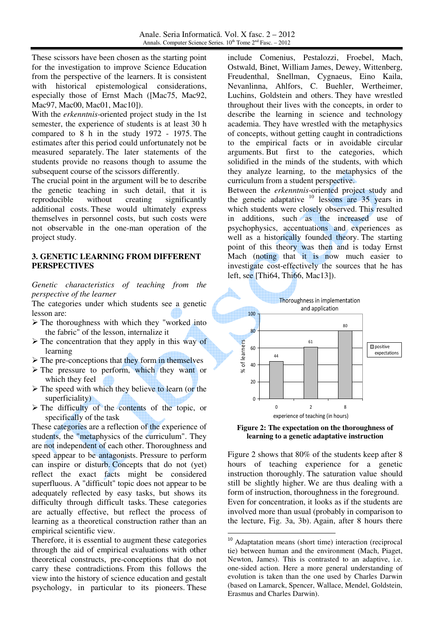These scissors have been chosen as the starting point for the investigation to improve Science Education from the perspective of the learners. It is consistent with historical epistemological considerations, especially those of Ernst Mach ([Mac75, Mac92, Mac97, Mac00, Mac01, Mac10]).

With the *erkenntnis*-oriented project study in the 1st semester, the experience of students is at least 30 h compared to 8 h in the study 1972 - 1975. The estimates after this period could unfortunately not be measured separately. The later statements of the students provide no reasons though to assume the subsequent course of the scissors differently.

The crucial point in the argument will be to describe the genetic teaching in such detail, that it is reproducible without creating significantly additional costs. These would ultimately express themselves in personnel costs, but such costs were not observable in the one-man operation of the project study.

#### **3. GENETIC LEARNING FROM DIFFERENT PERSPECTIVES**

*Genetic characteristics of teaching from the perspective of the learner* 

The categories under which students see a genetic lesson are:

- $\triangleright$  The thoroughness with which they "worked into the fabric" of the lesson, internalize it
- $\triangleright$  The concentration that they apply in this way of learning
- $\triangleright$  The pre-conceptions that they form in themselves
- $\triangleright$  The pressure to perform, which they want or which they feel
- $\triangleright$  The speed with which they believe to learn (or the superficiality)
- $\triangleright$  The difficulty of the contents of the topic, or specifically of the task

These categories are a reflection of the experience of students, the "metaphysics of the curriculum". They are not independent of each other. Thoroughness and speed appear to be antagonists. Pressure to perform can inspire or disturb. Concepts that do not (yet) reflect the exact facts might be considered superfluous. A "difficult" topic does not appear to be adequately reflected by easy tasks, but shows its difficulty through difficult tasks. These categories are actually effective, but reflect the process of learning as a theoretical construction rather than an empirical scientific view.

Therefore, it is essential to augment these categories through the aid of empirical evaluations with other theoretical constructs, pre-conceptions that do not carry these contradictions. From this follows the view into the history of science education and gestalt psychology, in particular to its pioneers. These

include Comenius, Pestalozzi, Froebel, Mach, Ostwald, Binet, William James, Dewey, Wittenberg, Freudenthal, Snellman, Cygnaeus, Eino Kaila, Nevanlinna, Ahlfors, C. Buehler, Wertheimer, Luchins, Goldstein and others. They have wrestled throughout their lives with the concepts, in order to describe the learning in science and technology academia. They have wrestled with the metaphysics of concepts, without getting caught in contradictions to the empirical facts or in avoidable circular arguments. But first to the categories, which solidified in the minds of the students, with which they analyze learning, to the metaphysics of the curriculum from a student perspective.

Between the *erkenntnis*-oriented project study and the genetic adaptative  $10$  lessons are 35 years in which students were closely observed. This resulted in additions, such as the increased use of psychophysics, accentuations and experiences as well as a historically founded theory. The starting point of this theory was then and is today Ernst Mach (noting that it is now much easier to investigate cost-effectively the sources that he has left, see [Thi64, Thi66, Mac13]).





Figure 2 shows that 80% of the students keep after 8 hours of teaching experience for a genetic instruction thoroughly. The saturation value should still be slightly higher. We are thus dealing with a form of instruction, thoroughness in the foreground. Even for concentration, it looks as if the students are involved more than usual (probably in comparison to the lecture, Fig. 3a, 3b). Again, after 8 hours there

<sup>10</sup> Adaptatation means (short time) interaction (reciprocal tie) between human and the environment (Mach, Piaget, Newton, James). This is contrasted to an adaptive, i.e. one-sided action. Here a more general understanding of evolution is taken than the one used by Charles Darwin (based on Lamarck, Spencer, Wallace, Mendel, Goldstein, Erasmus and Charles Darwin).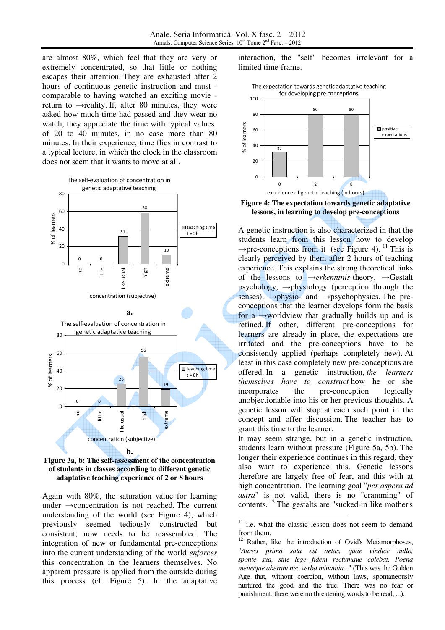are almost 80%, which feel that they are very or extremely concentrated, so that little or nothing escapes their attention. They are exhausted after 2 hours of continuous genetic instruction and must comparable to having watched an exciting movie return to  $\rightarrow$ reality. If, after 80 minutes, they were asked how much time had passed and they wear no watch, they appreciate the time with typical values of 20 to 40 minutes, in no case more than 80 minutes. In their experience, time flies in contrast to a typical lecture, in which the clock in the classroom does not seem that it wants to move at all.





**Figure 3a, b: The self-assessment of the concentration of students in classes according to different genetic adaptative teaching experience of 2 or 8 hours**

Again with 80%, the saturation value for learning under →concentration is not reached. The current understanding of the world (see Figure 4), which previously seemed tediously constructed but consistent, now needs to be reassembled. The integration of new or fundamental pre-conceptions into the current understanding of the world *enforces* this concentration in the learners themselves. No apparent pressure is applied from the outside during this process (cf. Figure 5). In the adaptative

interaction, the "self" becomes irrelevant for a limited time-frame.





**Figure 4: The expectation towards genetic adaptative lessons, in learning to develop pre-conceptions**

A genetic instruction is also characterized in that the students learn from this lesson how to develop  $\rightarrow$ pre-conceptions from it (see Figure 4).<sup>11</sup> This is clearly perceived by them after 2 hours of teaching experience. This explains the strong theoretical links of the lessons to →*erkenntnis*-theory, →Gestalt psychology,  $\rightarrow$ physiology (perception through the senses),  $\rightarrow$ physio- and  $\rightarrow$ psychophysics. The preconceptions that the learner develops form the basis for a  $\rightarrow$ worldview that gradually builds up and is refined. If other, different pre-conceptions for learners are already in place, the expectations are irritated and the pre-conceptions have to be consistently applied (perhaps completely new). At least in this case completely new pre-conceptions are offered. In a genetic instruction, *the learners themselves have to construct* how he or she incorporates the pre-conception logically unobjectionable into his or her previous thoughts. A genetic lesson will stop at each such point in the concept and offer discussion. The teacher has to grant this time to the learner.

It may seem strange, but in a genetic instruction, students learn without pressure (Figure 5a, 5b). The longer their experience continues in this regard, they also want to experience this. Genetic lessons therefore are largely free of fear, and this with at high concentration. The learning goal "*per aspera ad astra*" is not valid, there is no "cramming" of contents.<sup>12</sup> The gestalts are "sucked-in like mother's

 $11$  i.e. what the classic lesson does not seem to demand from them.

<sup>&</sup>lt;sup>12</sup> Rather, like the introduction of Ovid's Metamorphoses, "*Aurea prima sata est aetas, quae vindice nullo, sponte sua, sine lege fidem rectumque colebat. Poena metusque aberant nec verba minantia...*" (This was the Golden Age that, without coercion, without laws, spontaneously nurtured the good and the true. There was no fear or punishment: there were no threatening words to be read, ...).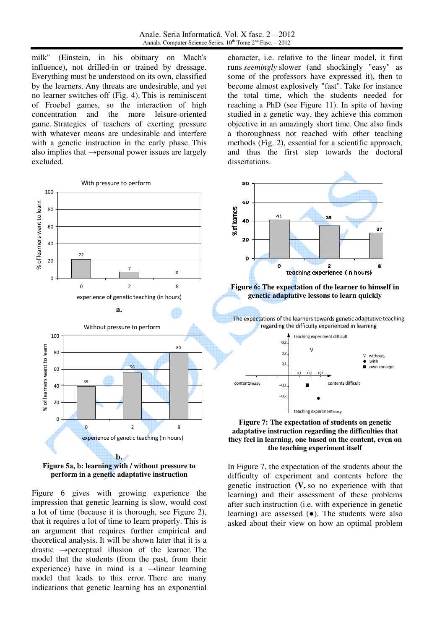milk" (Einstein, in his obituary on Mach's influence), not drilled-in or trained by dressage. Everything must be understood on its own, classified by the learners. Any threats are undesirable, and yet no learner switches-off (Fig. 4). This is reminiscent of Froebel games, so the interaction of high concentration and the more leisure-oriented game. Strategies of teachers of exerting pressure with whatever means are undesirable and interfere with a genetic instruction in the early phase. This also implies that  $\rightarrow$  personal power issues are largely excluded.



**Figure 5a, b: learning with / without pressure to perform in a genetic adaptative instruction**

Figure 6 gives with growing experience the impression that genetic learning is slow, would cost a lot of time (because it is thorough, see Figure 2), that it requires a lot of time to learn properly. This is an argument that requires further empirical and theoretical analysis. It will be shown later that it is a drastic  $\rightarrow$  perceptual illusion of the learner. The model that the students (from the past, from their experience) have in mind is a  $\rightarrow$ linear learning model that leads to this error. There are many indications that genetic learning has an exponential character, i.e. relative to the linear model, it first runs *seemingly* slower (and shockingly "easy" as some of the professors have expressed it), then to become almost explosively "fast". Take for instance the total time, which the students needed for reaching a PhD (see Figure 11). In spite of having studied in a genetic way, they achieve this common objective in an amazingly short time. One also finds a thoroughness not reached with other teaching methods (Fig. 2), essential for a scientific approach, and thus the first step towards the doctoral dissertations.



**Figure 6: The expectation of the learner to himself in genetic adaptative lessons to learn quickly**







In Figure 7, the expectation of the students about the difficulty of experiment and contents before the genetic instruction **(V,** so no experience with that learning) and their assessment of these problems after such instruction (i.e. with experience in genetic learning) are assessed (●). The students were also asked about their view on how an optimal problem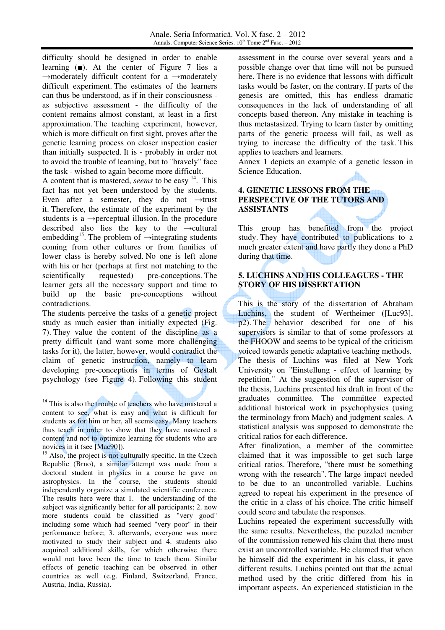Anale. Seria Informatică. Vol. X fasc. 2 – 2012 Annals. Computer Science Series.  $10^{th}$  Tome  $2^{nd}$  Fasc. –  $2012$ 

difficulty should be designed in order to enable learning (■). At the center of Figure 7 lies a  $\rightarrow$ moderately difficult content for a  $\rightarrow$ moderately difficult experiment. The estimates of the learners can thus be understood, as if in their consciousness as subjective assessment - the difficulty of the content remains almost constant, at least in a first approximation. The teaching experiment, however, which is more difficult on first sight, proves after the genetic learning process on closer inspection easier than initially suspected. It is - probably in order not to avoid the trouble of learning, but to "bravely" face the task - wished to again become more difficult.

A content that is mastered, *seems* to be easy <sup>14</sup>. This fact has not yet been understood by the students. Even after a semester, they do not  $\rightarrow$ trust it. Therefore, the estimate of the experiment by the students is a  $\rightarrow$  perceptual illusion. In the procedure described also lies the key to the  $\rightarrow$ cultural embedding<sup>15</sup>. The problem of  $\rightarrow$ integrating students coming from other cultures or from families of lower class is hereby solved. No one is left alone with his or her (perhaps at first not matching to the scientifically requested) pre-conceptions. The learner gets all the necessary support and time to build up the basic pre-conceptions without contradictions.

The students perceive the tasks of a genetic project study as much easier than initially expected (Fig. 7). They value the content of the discipline as a pretty difficult (and want some more challenging tasks for it), the latter, however, would contradict the claim of genetic instruction, namely to learn developing pre-conceptions in terms of Gestalt psychology (see Figure 4). Following this student

<u>.</u>

assessment in the course over several years and a possible change over that time will not be pursued here. There is no evidence that lessons with difficult tasks would be faster, on the contrary. If parts of the genesis are omitted, this has endless dramatic consequences in the lack of understanding of all concepts based thereon. Any mistake in teaching is thus metastasized. Trying to learn faster by omitting parts of the genetic process will fail, as well as trying to increase the difficulty of the task. This applies to teachers and learners.

Annex 1 depicts an example of a genetic lesson in Science Education.

# **4. GENETIC LESSONS FROM THE PERSPECTIVE OF THE TUTORS AND ASSISTANTS**

This group has benefited from the project study. They have contributed to publications to a much greater extent and have partly they done a PhD during that time.

# **5. LUCHINS AND HIS COLLEAGUES - THE STORY OF HIS DISSERTATION**

This is the story of the dissertation of Abraham Luchins, the student of Wertheimer ([Luc93], p2). The behavior described for one of his supervisors is similar to that of some professors at the FHOOW and seems to be typical of the criticism voiced towards genetic adaptative teaching methods. The thesis of Luchins was filed at New York University on "Einstellung - effect of learning by repetition." At the suggestion of the supervisor of the thesis, Luchins presented his draft in front of the graduates committee. The committee expected additional historical work in psychophysics (using the terminology from Mach) and judgment scales. A statistical analysis was supposed to demonstrate the critical ratios for each difference.

After finalization, a member of the committee claimed that it was impossible to get such large critical ratios. Therefore, "there must be something wrong with the research". The large impact needed to be due to an uncontrolled variable. Luchins agreed to repeat his experiment in the presence of the critic in a class of his choice. The critic himself could score and tabulate the responses.

Luchins repeated the experiment successfully with the same results. Nevertheless, the puzzled member of the commission renewed his claim that there must exist an uncontrolled variable. He claimed that when he himself did the experiment in his class, it gave different results. Luchins pointed out that the actual method used by the critic differed from his in important aspects. An experienced statistician in the

<sup>&</sup>lt;sup>14</sup> This is also the trouble of teachers who have mastered a content to see, what is easy and what is difficult for students as for him or her, all seems easy. Many teachers thus teach in order to show that they have mastered a content and not to optimize learning for students who are novices in it (see [Mac90]).

 $15$  Also, the project is not culturally specific. In the Czech Republic (Brno), a similar attempt was made from a doctoral student in physics in a course he gave on astrophysics. In the course, the students should independently organize a simulated scientific conference. The results here were that 1. the understanding of the subject was significantly better for all participants; 2. now more students could be classified as "very good" including some which had seemed "very poor" in their performance before; 3. afterwards, everyone was more motivated to study their subject and 4. students also acquired additional skills, for which otherwise there would not have been the time to teach them. Similar effects of genetic teaching can be observed in other countries as well (e.g. Finland, Switzerland, France, Austria, India, Russia).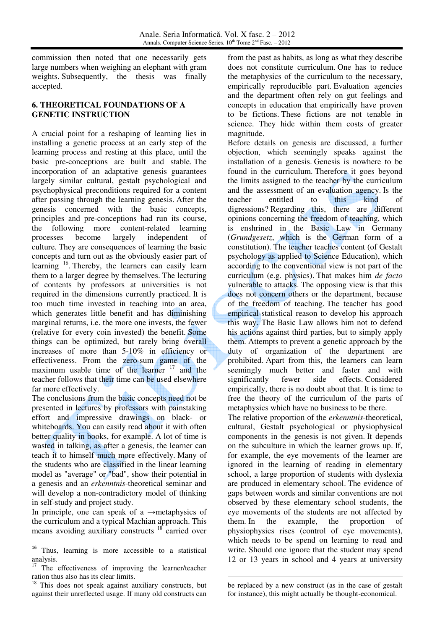commission then noted that one necessarily gets large numbers when weighing an elephant with gram weights. Subsequently, the thesis was finally accepted.

### **6. THEORETICAL FOUNDATIONS OF A GENETIC INSTRUCTION**

A crucial point for a reshaping of learning lies in installing a genetic process at an early step of the learning process and resting at this place, until the basic pre-conceptions are built and stable. The incorporation of an adaptative genesis guarantees largely similar cultural, gestalt psychological and psychophysical preconditions required for a content after passing through the learning genesis. After the genesis concerned with the basic concepts, principles and pre-conceptions had run its course, the following more content-related learning processes become largely independent of culture. They are consequences of learning the basic concepts and turn out as the obviously easier part of learning <sup>16</sup>. Thereby, the learners can easily learn them to a larger degree by themselves. The lecturing of contents by professors at universities is not required in the dimensions currently practiced. It is too much time invested in teaching into an area, which generates little benefit and has diminishing marginal returns, i.e. the more one invests, the fewer (relative for every coin invested) the benefit. Some things can be optimized, but rarely bring overall increases of more than 5-10% in efficiency or effectiveness. From the zero-sum game of the maximum usable time of the learner  $17$  and the teacher follows that their time can be used elsewhere far more effectively.

The conclusions from the basic concepts need not be presented in lectures by professors with painstaking effort and impressive drawings on black- or whiteboards. You can easily read about it with often better quality in books, for example. A lot of time is wasted in talking, as after a genesis, the learner can teach it to himself much more effectively. Many of the students who are classified in the linear learning model as "average" or "bad", show their potential in a genesis and an *erkenntnis*-theoretical seminar and will develop a non-contradictory model of thinking in self-study and project study.

In principle, one can speak of a  $\rightarrow$ metaphysics of the curriculum and a typical Machian approach. This means avoiding auxiliary constructs <sup>18</sup> carried over

l

from the past as habits, as long as what they describe does not constitute curriculum. One has to reduce the metaphysics of the curriculum to the necessary, empirically reproducible part. Evaluation agencies and the department often rely on gut feelings and concepts in education that empirically have proven to be fictions. These fictions are not tenable in science. They hide within them costs of greater magnitude.

Before details on genesis are discussed, a further objection, which seemingly speaks against the installation of a genesis. Genesis is nowhere to be found in the curriculum. Therefore it goes beyond the limits assigned to the teacher by the curriculum and the assessment of an evaluation agency. Is the teacher entitled to this kind of digressions? Regarding this, there are different opinions concerning the freedom of teaching, which is enshrined in the Basic Law in Germany (*Grundgesetz*, which is the German form of a constitution). The teacher teaches content (of Gestalt psychology as applied to Science Education), which according to the conventional view is not part of the curriculum (e.g. physics). That makes him *de facto* vulnerable to attacks. The opposing view is that this does not concern others or the department, because of the freedom of teaching. The teacher has good empirical-statistical reason to develop his approach this way. The Basic Law allows him not to defend his actions against third parties, but to simply apply them. Attempts to prevent a genetic approach by the duty of organization of the department are prohibited. Apart from this, the learners can learn seemingly much better and faster and with significantly fewer side effects. Considered empirically, there is no doubt about that. It is time to free the theory of the curriculum of the parts of metaphysics which have no business to be there.

The relative proportion of the *erkenntnis*-theoretical, cultural, Gestalt psychological or physiophysical components in the genesis is not given. It depends on the subculture in which the learner grows up. If, for example, the eye movements of the learner are ignored in the learning of reading in elementary school, a large proportion of students with dyslexia are produced in elementary school. The evidence of gaps between words and similar conventions are not observed by these elementary school students, the eye movements of the students are not affected by them. In the example, the proportion of physiophysics rises (control of eye movements), which needs to be spend on learning to read and write. Should one ignore that the student may spend 12 or 13 years in school and 4 years at university

<sup>16</sup> Thus, learning is more accessible to a statistical analysis.

<sup>&</sup>lt;sup>17</sup> The effectiveness of improving the learner/teacher ration thus also has its clear limits.

<sup>&</sup>lt;sup>18</sup> This does not speak against auxiliary constructs, but against their unreflected usage. If many old constructs can

be replaced by a new construct (as in the case of gestalt for instance), this might actually be thought-economical.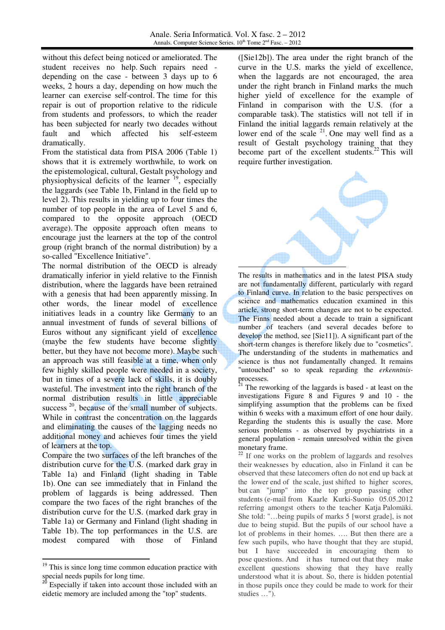-

without this defect being noticed or ameliorated. The student receives no help. Such repairs need depending on the case - between 3 days up to 6 weeks, 2 hours a day, depending on how much the learner can exercise self-control. The time for this repair is out of proportion relative to the ridicule from students and professors, to which the reader has been subjected for nearly two decades without fault and which affected his self-esteem dramatically.

From the statistical data from PISA 2006 (Table 1) shows that it is extremely worthwhile, to work on the epistemological, cultural, Gestalt psychology and physiophysical deficits of the learner  $19$ , especially the laggards (see Table 1b, Finland in the field up to level 2). This results in yielding up to four times the number of top people in the area of Level 5 and 6, compared to the opposite approach (OECD average). The opposite approach often means to encourage just the learners at the top of the control group (right branch of the normal distribution) by a so-called "Excellence Initiative".

The normal distribution of the OECD is already dramatically inferior in yield relative to the Finnish distribution, where the laggards have been retrained with a genesis that had been apparently missing. In other words, the linear model of excellence initiatives leads in a country like Germany to an annual investment of funds of several billions of Euros without any significant yield of excellence (maybe the few students have become slightly better, but they have not become more). Maybe such an approach was still feasible at a time, when only few highly skilled people were needed in a society, but in times of a severe lack of skills, it is doubly wasteful. The investment into the right branch of the normal distribution results in little appreciable success<sup>20</sup>, because of the small number of subjects. While in contrast the concentration on the laggards and eliminating the causes of the lagging needs no additional money and achieves four times the yield of learners at the top.

Compare the two surfaces of the left branches of the distribution curve for the U.S. (marked dark gray in Table 1a) and Finland (light shading in Table 1b). One can see immediately that in Finland the problem of laggards is being addressed. Then compare the two faces of the right branches of the distribution curve for the U.S. (marked dark gray in Table 1a) or Germany and Finland (light shading in Table 1b). The top performances in the U.S. are modest compared with those of Finland

-

([Sie12b]). The area under the right branch of the curve in the U.S. marks the yield of excellence, when the laggards are not encouraged, the area under the right branch in Finland marks the much higher yield of excellence for the example of Finland in comparison with the U.S. (for a comparable task). The statistics will not tell if in Finland the initial laggards remain relatively at the lower end of the scale  $21$ . One may well find as a result of Gestalt psychology training that they become part of the excellent students.<sup>22</sup> This will require further investigation.



The results in mathematics and in the latest PISA study are not fundamentally different, particularly with regard to Finland curve. In relation to the basic perspectives on science and mathematics education examined in this article, strong short-term changes are not to be expected. The Finns needed about a decade to train a significant number of teachers (and several decades before to develop the method, see [Sie11]). A significant part of the short-term changes is therefore likely due to "cosmetics". The understanding of the students in mathematics and science is thus not fundamentally changed. It remains "untouched" so to speak regarding the *erkenntnis*processes.

 $21$  The reworking of the laggards is based - at least on the investigations Figure 8 and Figures 9 and 10 - the simplifying assumption that the problems can be fixed within 6 weeks with a maximum effort of one hour daily. Regarding the students this is usually the case. More serious problems - as observed by psychiatrists in a general population - remain unresolved within the given monetary frame.

 $22$  If one works on the problem of laggards and resolves their weaknesses by education, also in Finland it can be observed that these latecomers often do not end up back at the lower end of the scale, just shifted to higher scores, but can "jump" into the top group passing other students (e-mail from Kaarle Kurki-Suonio 05.05.2012 referring amongst others to the teacher Katja Palomäki. She told: "…being pupils of marks 5 [worst grade], is not due to being stupid. But the pupils of our school have a lot of problems in their homes. …. But then there are a few such pupils, who have thought that they are stupid, but I have succeeded in encouraging them to pose questions. And it has turned out that they make excellent questions showing that they have really understood what it is about. So, there is hidden potential in those pupils once they could be made to work for their studies …").

 $19$  This is since long time common education practice with special needs pupils for long time.

Especially if taken into account those included with an eidetic memory are included among the "top" students.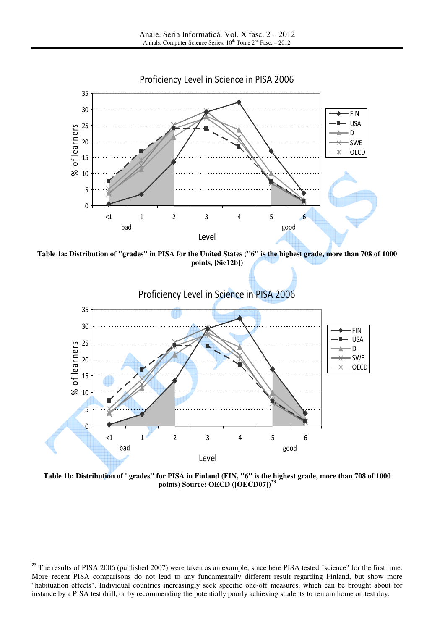

**Table 1a: Distribution of "grades" in PISA for the United States ("6" is the highest grade, more than 708 of 1000 points, [Sie12b])**



**Table 1b: Distribution of "grades" for PISA in Finland (FIN, "6" is the highest grade, more than 708 of 1000 points) Source: OECD ([OECD07])<sup>23</sup>**

l

 $^{23}$  The results of PISA 2006 (published 2007) were taken as an example, since here PISA tested "science" for the first time. More recent PISA comparisons do not lead to any fundamentally different result regarding Finland, but show more "habituation effects". Individual countries increasingly seek specific one-off measures, which can be brought about for instance by a PISA test drill, or by recommending the potentially poorly achieving students to remain home on test day.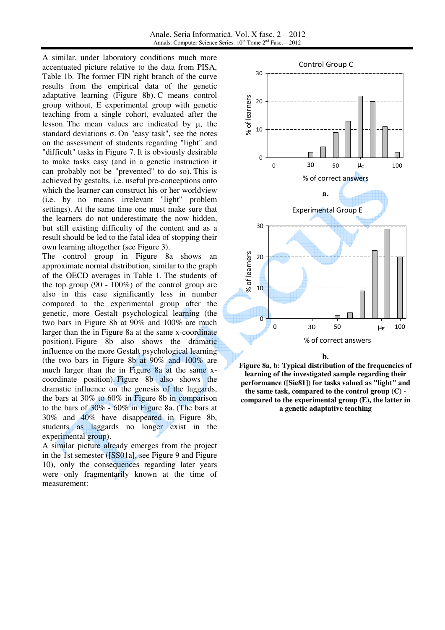Anale. Seria Informatică. Vol. X fasc. 2 – 2012 Annals. Computer Science Series.  $10^{th}$  Tome  $2^{nd}$  Fasc. – 2012

A similar, under laboratory conditions much more accentuated picture relative to the data from PISA, Table 1b. The former FIN right branch of the curve results from the empirical data of the genetic adaptative learning (Figure 8b). C means control group without, E experimental group with genetic teaching from a single cohort, evaluated after the lesson. The mean values are indicated by µ, the standard deviations σ. On "easy task", see the notes on the assessment of students regarding "light" and "difficult" tasks in Figure 7. It is obviously desirable to make tasks easy (and in a genetic instruction it can probably not be "prevented" to do so). This is achieved by gestalts, i.e. useful pre-conceptions onto which the learner can construct his or her worldview (i.e. by no means irrelevant "light" problem settings). At the same time one must make sure that the learners do not underestimate the now hidden, but still existing difficulty of the content and as a result should be led to the fatal idea of stopping their own learning altogether (see Figure 3).

The control group in Figure 8a shows an approximate normal distribution, similar to the graph of the OECD averages in Table 1. The students of the top group (90 - 100%) of the control group are also in this case significantly less in number compared to the experimental group after the genetic, more Gestalt psychological learning (the two bars in Figure 8b at 90% and 100% are much larger than the in Figure 8a at the same x-coordinate position). Figure 8b also shows the dramatic influence on the more Gestalt psychological learning (the two bars in Figure 8b at 90% and 100% are much larger than the in Figure 8a at the same xcoordinate position). Figure 8b also shows the dramatic influence on the genesis of the laggards, the bars at 30% to 60% in Figure 8b in comparison to the bars of 30% - 60% in Figure 8a. (The bars at 30% and 40% have disappeared in Figure 8b, students as laggards no longer exist in the experimental group).

A similar picture already emerges from the project in the 1st semester ([SS01a], see Figure 9 and Figure 10), only the consequences regarding later years were only fragmentarily known at the time of measurement:



**b. Figure 8a, b: Typical distribution of the frequencies of learning of the investigated sample regarding their performance ([Sie81]) for tasks valued as "light" and the same task, compared to the control group (C) compared to the experimental group (E), the latter in** 

**a genetic adaptative teaching**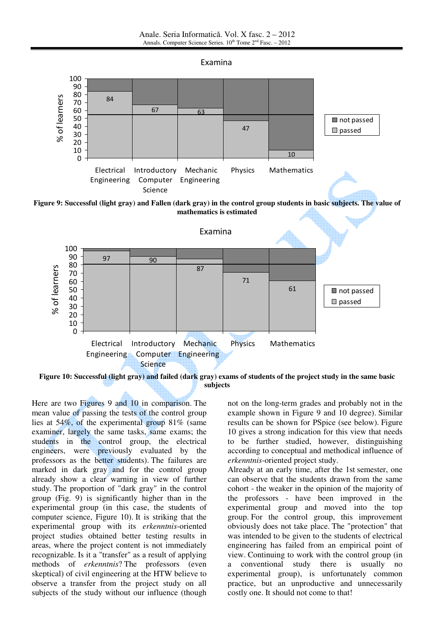





Here are two Figures 9 and 10 in comparison. The mean value of passing the tests of the control group lies at 54%, of the experimental group 81% (same examiner, largely the same tasks, same exams; the students in the control group, the electrical engineers, were previously evaluated by the professors as the better students). The failures are marked in dark gray and for the control group already show a clear warning in view of further study. The proportion of "dark gray" in the control group (Fig. 9) is significantly higher than in the experimental group (in this case, the students of computer science, Figure 10). It is striking that the experimental group with its *erkenntnis*-oriented project studies obtained better testing results in areas, where the project content is not immediately recognizable. Is it a "transfer" as a result of applying methods of *erkenntnis*? The professors (even skeptical) of civil engineering at the HTW believe to observe a transfer from the project study on all subjects of the study without our influence (though not on the long-term grades and probably not in the example shown in Figure 9 and 10 degree). Similar results can be shown for PSpice (see below). Figure 10 gives a strong indication for this view that needs to be further studied, however, distinguishing according to conceptual and methodical influence of *erkenntnis*-oriented project study.

Already at an early time, after the 1st semester, one can observe that the students drawn from the same cohort - the weaker in the opinion of the majority of the professors - have been improved in the experimental group and moved into the top group. For the control group, this improvement obviously does not take place. The "protection" that was intended to be given to the students of electrical engineering has failed from an empirical point of view. Continuing to work with the control group (in a conventional study there is usually no experimental group), is unfortunately common practice, but an unproductive and unnecessarily costly one. It should not come to that!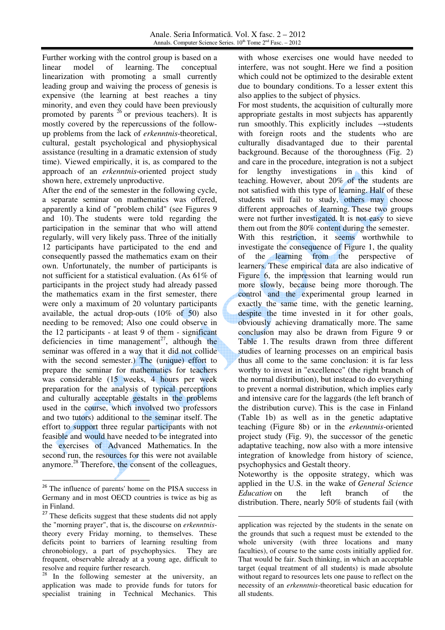Further working with the control group is based on a linear model of learning. The conceptual linearization with promoting a small currently leading group and waiving the process of genesis is expensive (the learning at best reaches a tiny minority, and even they could have been previously promoted by parents  $^{26}$  or previous teachers). It is mostly covered by the repercussions of the followup problems from the lack of *erkenntnis*-theoretical, cultural, gestalt psychological and physiophysical assistance (resulting in a dramatic extension of study time). Viewed empirically, it is, as compared to the approach of an *erkenntnis*-oriented project study shown here, extremely unproductive.

After the end of the semester in the following cycle, a separate seminar on mathematics was offered, apparently a kind of "problem child" (see Figures 9 and 10). The students were told regarding the participation in the seminar that who will attend regularly, will very likely pass. Three of the initially 12 participants have participated to the end and consequently passed the mathematics exam on their own. Unfortunately, the number of participants is not sufficient for a statistical evaluation. (As 61% of participants in the project study had already passed the mathematics exam in the first semester, there were only a maximum of 20 voluntary participants available, the actual drop-outs (10% of 50) also needing to be removed; Also one could observe in the 12 participants - at least 9 of them - significant deficiencies in time management<sup>27</sup>, although the seminar was offered in a way that it did not collide with the second semester.) The (unique) effort to prepare the seminar for mathematics for teachers was considerable (15 weeks, 4 hours per week preparation for the analysis of typical perceptions and culturally acceptable gestalts in the problems used in the course, which involved two professors and two tutors) additional to the seminar itself. The effort to support three regular participants with not feasible and would have needed to be integrated into the exercises of Advanced Mathematics. In the second run, the resources for this were not available anymore.<sup>28</sup> Therefore, the consent of the colleagues,

-

with whose exercises one would have needed to interfere, was not sought. Here we find a position which could not be optimized to the desirable extent due to boundary conditions. To a lesser extent this also applies to the subject of physics.

For most students, the acquisition of culturally more appropriate gestalts in most subjects has apparently run smoothly. This explicitly includes  $\rightarrow$  students with foreign roots and the students who are culturally disadvantaged due to their parental background. Because of the thoroughness (Fig. 2) and care in the procedure, integration is not a subject for lengthy investigations in this kind of teaching. However, about 20% of the students are not satisfied with this type of learning. Half of these students will fail to study, others may choose different approaches of learning. These two groups were not further investigated. It is not easy to sieve them out from the 80% content during the semester. With this restriction, it seems worthwhile to investigate the consequence of Figure 1, the quality of the learning from the perspective of learners. These empirical data are also indicative of Figure 6, the impression that learning would run more slowly, because being more thorough. The control and the experimental group learned in exactly the same time, with the genetic learning, despite the time invested in it for other goals, obviously achieving dramatically more. The same conclusion may also be drawn from Figure 9 or Table 1. The results drawn from three different studies of learning processes on an empirical basis thus all come to the same conclusion: it is far less worthy to invest in "excellence" (the right branch of the normal distribution), but instead to do everything to prevent a normal distribution, which implies early and intensive care for the laggards (the left branch of the distribution curve). This is the case in Finland (Table 1b) as well as in the genetic adaptative teaching (Figure 8b) or in the *erkenntnis*-oriented project study (Fig. 9), the successor of the genetic adaptative teaching, now also with a more intensive integration of knowledge from history of science,

psychophysics and Gestalt theory. Noteworthy is the opposite strategy, which was applied in the U.S. in the wake of *General Science Education* on the left branch of the distribution. There, nearly 50% of students fail (with

.<br>-

<sup>&</sup>lt;sup>26</sup> The influence of parents' home on the PISA success in Germany and in most OECD countries is twice as big as in Finland.

<sup>&</sup>lt;sup>27</sup> These deficits suggest that these students did not apply the "morning prayer", that is, the discourse on *erkenntnis*theory every Friday morning, to themselves. These deficits point to barriers of learning resulting from chronobiology, a part of psychophysics. They are frequent, observable already at a young age, difficult to resolve and require further research.

<sup>&</sup>lt;sup>28</sup> In the following semester at the university, an application was made to provide funds for tutors for specialist training in Technical Mechanics. This

application was rejected by the students in the senate on the grounds that such a request must be extended to the whole university (with three locations and many faculties), of course to the same costs initially applied for. That would be fair. Such thinking, in which an acceptable target (equal treatment of all students) is made absolute without regard to resources lets one pause to reflect on the necessity of an *erkenntnis*-theoretical basic education for all students.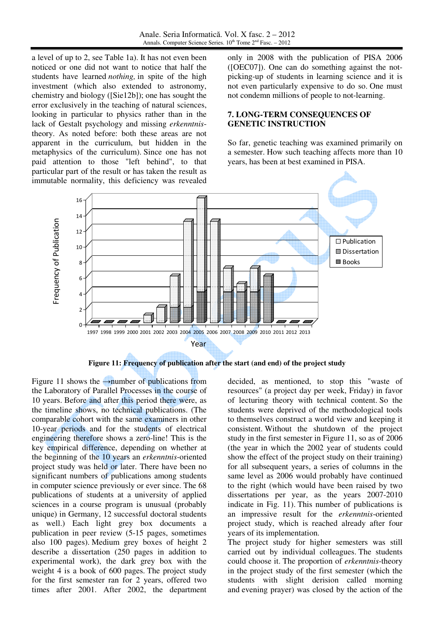a level of up to 2, see Table 1a). It has not even been noticed or one did not want to notice that half the students have learned *nothing,* in spite of the high investment (which also extended to astronomy, chemistry and biology ([Sie12b]); one has sought the error exclusively in the teaching of natural sciences, looking in particular to physics rather than in the lack of Gestalt psychology and missing *erkenntnis*theory. As noted before: both these areas are not apparent in the curriculum, but hidden in the metaphysics of the curriculum). Since one has not paid attention to those "left behind", to that particular part of the result or has taken the result as immutable normality, this deficiency was revealed only in 2008 with the publication of PISA 2006 ([OEC07]). One can do something against the notpicking-up of students in learning science and it is not even particularly expensive to do so. One must not condemn millions of people to not-learning.

# **7. LONG-TERM CONSEQUENCES OF GENETIC INSTRUCTION**

So far, genetic teaching was examined primarily on a semester. How such teaching affects more than 10 years, has been at best examined in PISA.



**Figure 11: Frequency of publication after the start (and end) of the project study** 

Figure 11 shows the  $\rightarrow$ number of publications from the Laboratory of Parallel Processes in the course of 10 years. Before and after this period there were, as the timeline shows, no technical publications. (The comparable cohort with the same examiners in other 10-year periods and for the students of electrical engineering therefore shows a zero-line! This is the key empirical difference, depending on whether at the beginning of the 10 years an *erkenntnis*-oriented project study was held or later. There have been no significant numbers of publications among students in computer science previously or ever since. The 68 publications of students at a university of applied sciences in a course program is unusual (probably unique) in Germany, 12 successful doctoral students as well.) Each light grey box documents a publication in peer review (5-15 pages, sometimes also 100 pages). Medium grey boxes of height 2 describe a dissertation (250 pages in addition to experimental work), the dark grey box with the weight 4 is a book of 600 pages. The project study for the first semester ran for 2 years, offered two times after 2001. After 2002, the department decided, as mentioned, to stop this "waste of resources" (a project day per week, Friday) in favor of lecturing theory with technical content. So the students were deprived of the methodological tools to themselves construct a world view and keeping it consistent. Without the shutdown of the project study in the first semester in Figure 11, so as of 2006 (the year in which the 2002 year of students could show the effect of the project study on their training) for all subsequent years, a series of columns in the same level as 2006 would probably have continued to the right (which would have been raised by two dissertations per year, as the years 2007-2010 indicate in Fig. 11). This number of publications is an impressive result for the *erkenntnis*-oriented project study, which is reached already after four years of its implementation.

The project study for higher semesters was still carried out by individual colleagues. The students could choose it. The proportion of *erkenntnis*-theory in the project study of the first semester (which the students with slight derision called morning and evening prayer) was closed by the action of the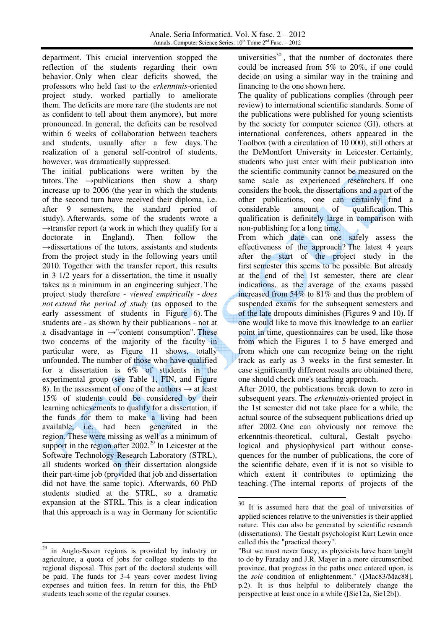department. This crucial intervention stopped the reflection of the students regarding their own behavior. Only when clear deficits showed, the professors who held fast to the *erkenntnis*-oriented project study, worked partially to ameliorate them. The deficits are more rare (the students are not as confident to tell about them anymore), but more pronounced. In general, the deficits can be resolved within 6 weeks of collaboration between teachers and students, usually after a few days. The realization of a general self-control of students, however, was dramatically suppressed.

The initial publications were written by the tutors. The  $\rightarrow$ publications then show a sharp increase up to 2006 (the year in which the students of the second turn have received their diploma, i.e. after 9 semesters, the standard period of study). Afterwards, some of the students wrote a  $\rightarrow$ transfer report (a work in which they qualify for a doctorate in England). Then follow the  $\rightarrow$ dissertations of the tutors, assistants and students from the project study in the following years until 2010. Together with the transfer report, this results in 3 1/2 years for a dissertation, the time it usually takes as a minimum in an engineering subject. The project study therefore *- viewed empirically - does not extend the period of study* (as opposed to the early assessment of students in Figure 6). The students are - as shown by their publications - not at a disadvantage in  $\rightarrow$ "content consumption". These two concerns of the majority of the faculty in particular were, as Figure 11 shows, totally unfounded. The number of those who have qualified for a dissertation is  $6\%$  of students in the experimental group (see Table 1, FIN, and Figure 8). In the assessment of one of the authors  $\rightarrow$  at least 15% of students could be considered by their learning achievements to qualify for a dissertation, if the funds for them to make a living had been available, i.e. had been generated in the region. These were missing as well as a minimum of support in the region after  $2002<sup>29</sup>$  In Leicester at the Software Technology Research Laboratory (STRL), all students worked on their dissertation alongside their part-time job (provided that job and dissertation did not have the same topic). Afterwards, 60 PhD students studied at the STRL, so a dramatic expansion at the STRL. This is a clear indication that this approach is a way in Germany for scientific

<u>.</u>

universities $^{30}$ , that the number of doctorates there could be increased from 5% to 20%, if one could decide on using a similar way in the training and financing to the one shown here.

The quality of publications complies (through peer review) to international scientific standards. Some of the publications were published for young scientists by the society for computer science (GI), others at international conferences, others appeared in the Toolbox (with a circulation of 10 000), still others at the DeMontfort University in Leicester. Certainly, students who just enter with their publication into the scientific community cannot be measured on the same scale as experienced researchers. If one considers the book, the dissertations and a part of the other publications, one can certainly find a considerable amount of qualification. This qualification is definitely large in comparison with non-publishing for a long time.

From which date can one safely assess the effectiveness of the approach? The latest 4 years after the start of the project study in the first semester this seems to be possible. But already at the end of the 1st semester, there are clear indications, as the average of the exams passed increased from 54% to 81% and thus the problem of suspended exams for the subsequent semesters and of the late dropouts diminishes (Figures 9 and 10). If one would like to move this knowledge to an earlier point in time, questionnaires can be used, like those from which the Figures 1 to 5 have emerged and from which one can recognize being on the right track as early as 3 weeks in the first semester. In case significantly different results are obtained there, one should check one's teaching approach.

After 2010, the publications break down to zero in subsequent years. The *erkenntnis*-oriented project in the 1st semester did not take place for a while, the actual source of the subsequent publications dried up after 2002. One can obviously not remove the erkenntnis-theoretical, cultural, Gestalt psychological and physiophysical part without consequences for the number of publications, the core of the scientific debate, even if it is not so visible to which extent it contributes to optimizing the teaching. (The internal reports of projects of the

<sup>29</sup> in Anglo-Saxon regions is provided by industry or agriculture, a quota of jobs for college students to the regional disposal. This part of the doctoral students will be paid. The funds for 3-4 years cover modest living expenses and tuition fees. In return for this, the PhD students teach some of the regular courses.

<sup>30</sup> It is assumed here that the goal of universities of applied sciences relative to the universities is their applied nature. This can also be generated by scientific research (dissertations). The Gestalt psychologist Kurt Lewin once called this the "practical theory".

<sup>&</sup>quot;But we must never fancy, as physicists have been taught to do by Faraday and J.R. Mayer in a more circumscribed province, that progress in the paths once entered upon, is the *sole* condition of enlightenment." ([Mac83/Mac88], p.2). It is thus helpful to deliberately change the perspective at least once in a while ([Sie12a, Sie12b]).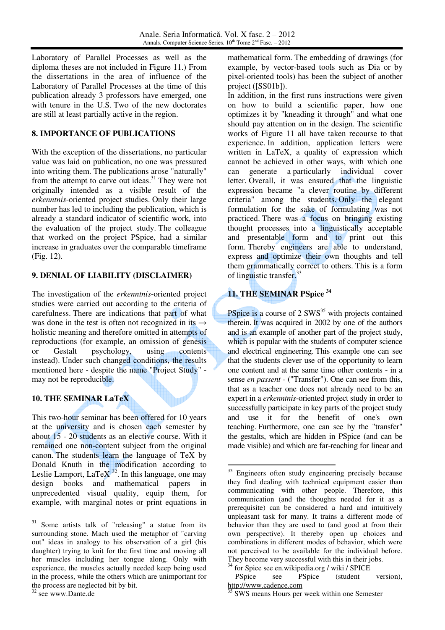Laboratory of Parallel Processes as well as the diploma theses are not included in Figure 11.) From the dissertations in the area of influence of the Laboratory of Parallel Processes at the time of this publication already 3 professors have emerged, one with tenure in the U.S. Two of the new doctorates are still at least partially active in the region.

### **8. IMPORTANCE OF PUBLICATIONS**

With the exception of the dissertations, no particular value was laid on publication, no one was pressured into writing them. The publications arose "naturally" from the attempt to carve out ideas.<sup>31</sup> They were not originally intended as a visible result of the *erkenntnis*-oriented project studies. Only their large number has led to including the publication, which is already a standard indicator of scientific work, into the evaluation of the project study. The colleague that worked on the project PSpice, had a similar increase in graduates over the comparable timeframe (Fig. 12).

# **9. DENIAL OF LIABILITY (DISCLAIMER)**

The investigation of the *erkenntnis*-oriented project studies were carried out according to the criteria of carefulness. There are indications that part of what was done in the test is often not recognized in its  $\rightarrow$ holistic meaning and therefore omitted in attempts of reproductions (for example, an omission of genesis or Gestalt psychology, using contents instead). Under such changed conditions, the results mentioned here - despite the name "Project Study" may not be reproducible.

# **10. THE SEMINAR LaTeX**

This two-hour seminar has been offered for 10 years at the university and is chosen each semester by about 15 - 20 students as an elective course. With it remained one non-content subject from the original canon. The students learn the language of TeX by Donald Knuth in the modification according to Leslie Lamport, LaTeX<sup>32</sup>. In this language, one may design books and mathematical papers in unprecedented visual quality, equip them, for example, with marginal notes or print equations in

<sup>32</sup> see www.Dante.de

l

mathematical form. The embedding of drawings (for example, by vector-based tools such as Dia or by pixel-oriented tools) has been the subject of another project ([SS01b]).

In addition, in the first runs instructions were given on how to build a scientific paper, how one optimizes it by "kneading it through" and what one should pay attention on in the design. The scientific works of Figure 11 all have taken recourse to that experience. In addition, application letters were written in LaTeX, a quality of expression which cannot be achieved in other ways, with which one can generate a particularly individual cover letter. Overall, it was ensured that the linguistic expression became "a clever routine by different criteria" among the students. Only the elegant formulation for the sake of formulating was not practiced. There was a focus on bringing existing thought processes into a linguistically acceptable and presentable form and to print out this form. Thereby engineers are able to understand, express and optimize their own thoughts and tell them grammatically correct to others. This is a form of linguistic transfer.<sup>33</sup>

# **11. THE SEMINAR PSpice <sup>34</sup>**

-

PSpice is a course of 2 SWS<sup>35</sup> with projects contained therein. It was acquired in 2002 by one of the authors and is an example of another part of the project study, which is popular with the students of computer science and electrical engineering. This example one can see that the students clever use of the opportunity to learn one content and at the same time other contents - in a sense *en passent* - ("Transfer"). One can see from this, that as a teacher one does not already need to be an expert in a *erkenntnis*-oriented project study in order to successfully participate in key parts of the project study and use it for the benefit of one's own teaching. Furthermore, one can see by the "transfer" the gestalts, which are hidden in PSpice (and can be made visible) and which are far-reaching for linear and

<sup>&</sup>lt;sup>31</sup> Some artists talk of "releasing" a statue from its surrounding stone. Mach used the metaphor of "carving out" ideas in analogy to his observation of a girl (his daughter) trying to knit for the first time and moving all her muscles including her tongue along. Only with experience, the muscles actually needed keep being used in the process, while the others which are unimportant for the process are neglected bit by bit.

<sup>&</sup>lt;sup>33</sup> Engineers often study engineering precisely because they find dealing with technical equipment easier than communicating with other people. Therefore, this communication (and the thoughts needed for it as a prerequisite) can be considered a hard and intuitively unpleasant task for many. It trains a different mode of behavior than they are used to (and good at from their own perspective). It thereby open up choices and combinations in different modes of behavior, which were not perceived to be available for the individual before. They become very successful with this in their jobs.

 $34$  for Spice see en.wikipedia.org / wiki / SPICE

PSpice see PSpice (student version), http://www.cadence.com

<sup>35</sup> SWS means Hours per week within one Semester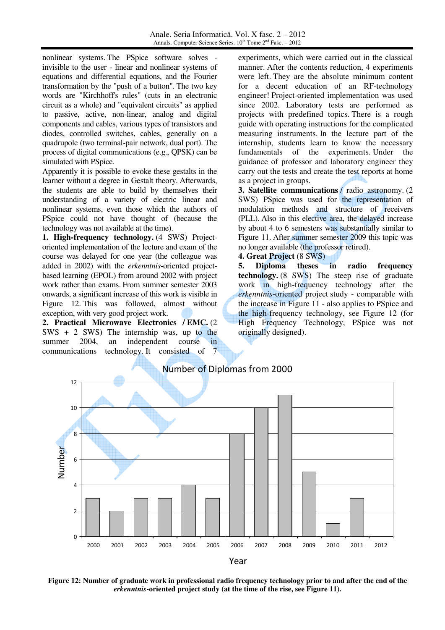nonlinear systems. The PSpice software solves invisible to the user - linear and nonlinear systems of equations and differential equations, and the Fourier transformation by the "push of a button". The two key words are "Kirchhoff's rules" (cuts in an electronic circuit as a whole) and "equivalent circuits" as applied to passive, active, non-linear, analog and digital components and cables, various types of transistors and diodes, controlled switches, cables, generally on a quadrupole (two terminal-pair network, dual port). The process of digital communications (e.g., QPSK) can be simulated with PSpice.

Apparently it is possible to evoke these gestalts in the learner without a degree in Gestalt theory. Afterwards, the students are able to build by themselves their understanding of a variety of electric linear and nonlinear systems, even those which the authors of PSpice could not have thought of (because the technology was not available at the time).

**1. High-frequency technology.** (4 SWS) Projectoriented implementation of the lecture and exam of the course was delayed for one year (the colleague was added in 2002) with the *erkenntnis*-oriented projectbased learning (EPOL) from around 2002 with project work rather than exams. From summer semester 2003 onwards, a significant increase of this work is visible in Figure 12. This was followed, almost without exception, with very good project work.

**2. Practical Microwave Electronics / EMC.** (2 SWS + 2 SWS) The internship was, up to the summer 2004, an independent course in communications technology. It consisted of 7

experiments, which were carried out in the classical manner. After the contents reduction, 4 experiments were left. They are the absolute minimum content for a decent education of an RF-technology engineer! Project-oriented implementation was used since 2002. Laboratory tests are performed as projects with predefined topics. There is a rough guide with operating instructions for the complicated measuring instruments. In the lecture part of the internship, students learn to know the necessary fundamentals of the experiments. Under the guidance of professor and laboratory engineer they carry out the tests and create the test reports at home as a project in groups.

**3. Satellite communications** / radio astronomy. (2 SWS) PSpice was used for the representation of modulation methods and structure of receivers (PLL). Also in this elective area, the delayed increase by about 4 to 6 semesters was substantially similar to Figure 11. After summer semester 2009 this topic was no longer available (the professor retired).

#### **4. Great Project** (8 SWS)

**5. Diploma theses in radio frequency technology.** (8 SWS) The steep rise of graduate work in high-frequency technology after the *erkenntnis*-oriented project study - comparable with the increase in Figure 11 - also applies to PSpice and the high-frequency technology, see Figure 12 (for High Frequency Technology, PSpice was not originally designed).



**Figure 12: Number of graduate work in professional radio frequency technology prior to and after the end of the**  *erkenntnis***-oriented project study (at the time of the rise, see Figure 11).**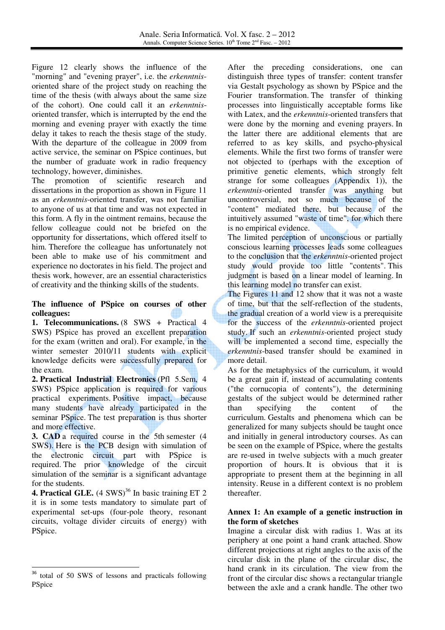Figure 12 clearly shows the influence of the "morning" and "evening prayer", i.e. the *erkenntnis*oriented share of the project study on reaching the time of the thesis (with always about the same size of the cohort). One could call it an *erkenntnis*oriented transfer, which is interrupted by the end the morning and evening prayer with exactly the time delay it takes to reach the thesis stage of the study. With the departure of the colleague in 2009 from active service, the seminar on PSpice continues, but the number of graduate work in radio frequency technology, however, diminishes.

The promotion of scientific research and dissertations in the proportion as shown in Figure 11 as an *erkenntnis*-oriented transfer, was not familiar to anyone of us at that time and was not expected in this form. A fly in the ointment remains, because the fellow colleague could not be briefed on the opportunity for dissertations, which offered itself to him. Therefore the colleague has unfortunately not been able to make use of his commitment and experience no doctorates in his field. The project and thesis work, however, are an essential characteristics of creativity and the thinking skills of the students.

#### **The influence of PSpice on courses of other colleagues:**

**1. Telecommunications.** (8 SWS + Practical 4 SWS) PSpice has proved an excellent preparation for the exam (written and oral). For example, in the winter semester 2010/11 students with explicit knowledge deficits were successfully prepared for the exam.

**2. Practical Industrial Electronics** (Pfl 5.Sem, 4 SWS) PSpice application is required for various practical experiments. Positive impact, because many students have already participated in the seminar PSpice. The test preparation is thus shorter and more effective.

**3. CAD** a required course in the 5th semester (4 SWS). Here is the PCB design with simulation of the electronic circuit part with PSpice is required. The prior knowledge of the circuit simulation of the seminar is a significant advantage for the students.

**4. Practical GLE.**  $(4 \text{ SWS})^{36}$  In basic training ET 2 it is in some tests mandatory to simulate part of experimental set-ups (four-pole theory, resonant circuits, voltage divider circuits of energy) with PSpice.

l

After the preceding considerations, one can distinguish three types of transfer: content transfer via Gestalt psychology as shown by PSpice and the Fourier transformation. The transfer of thinking processes into linguistically acceptable forms like with Latex, and the *erkenntnis*-oriented transfers that were done by the morning and evening prayers. In the latter there are additional elements that are referred to as key skills, and psycho-physical elements. While the first two forms of transfer were not objected to (perhaps with the exception of primitive genetic elements, which strongly felt strange for some colleagues (Appendix 1)), the *erkenntnis*-oriented transfer was anything but uncontroversial, not so much because of the "content" mediated there, but because of the intuitively assumed "waste of time", for which there is no empirical evidence.

The limited perception of unconscious or partially conscious learning processes leads some colleagues to the conclusion that the *erkenntnis*-oriented project study would provide too little "contents". This judgment is based on a linear model of learning. In this learning model no transfer can exist.

The Figures 11 and 12 show that it was not a waste of time, but that the self-reflection of the students, the gradual creation of a world view is a prerequisite for the success of the *erkenntnis*-oriented project study. If such an *erkenntnis*-oriented project study will be implemented a second time, especially the *erkenntnis*-based transfer should be examined in more detail.

As for the metaphysics of the curriculum, it would be a great gain if, instead of accumulating contents ("the cornucopia of contents"), the determining gestalts of the subject would be determined rather than specifying the content of the curriculum. Gestalts and phenomena which can be generalized for many subjects should be taught once and initially in general introductory courses. As can be seen on the example of PSpice, where the gestalts are re-used in twelve subjects with a much greater proportion of hours. It is obvious that it is appropriate to present them at the beginning in all intensity. Reuse in a different context is no problem thereafter.

#### **Annex 1: An example of a genetic instruction in the form of sketches**

Imagine a circular disk with radius 1. Was at its periphery at one point a hand crank attached. Show different projections at right angles to the axis of the circular disk in the plane of the circular disc, the hand crank in its circulation. The view from the front of the circular disc shows a rectangular triangle between the axle and a crank handle. The other two

<sup>&</sup>lt;sup>36</sup> total of 50 SWS of lessons and practicals following PSpice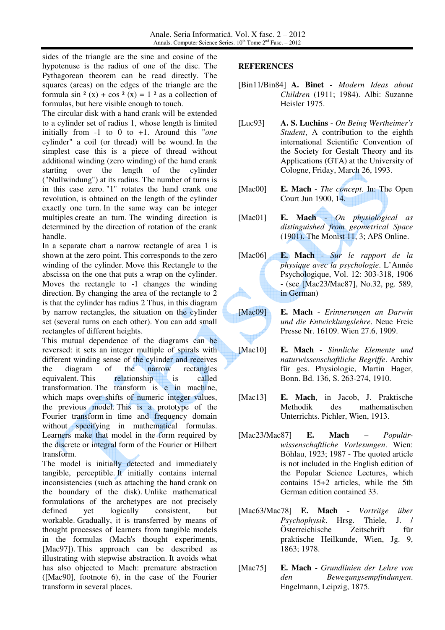sides of the triangle are the sine and cosine of the hypotenuse is the radius of one of the disc. The Pythagorean theorem can be read directly. The squares (areas) on the edges of the triangle are the formula sin  $2(x) + \cos 2(x) = 1$  as a collection of formulas, but here visible enough to touch.

The circular disk with a hand crank will be extended to a cylinder set of radius 1, whose length is limited initially from -1 to 0 to +1. Around this "*one* cylinder" a coil (or thread) will be wound. In the simplest case this is a piece of thread without additional winding (zero winding) of the hand crank starting over the length of the cylinder ("Nullwindung") at its radius. The number of turns is in this case zero. "1" rotates the hand crank one revolution, is obtained on the length of the cylinder exactly one turn. In the same way can be integer multiples create an turn. The winding direction is determined by the direction of rotation of the crank handle.

In a separate chart a narrow rectangle of area 1 is shown at the zero point. This corresponds to the zero winding of the cylinder. Move this Rectangle to the abscissa on the one that puts a wrap on the cylinder. Moves the rectangle to -1 changes the winding direction. By changing the area of the rectangle to 2 is that the cylinder has radius 2 Thus, in this diagram by narrow rectangles, the situation on the cylinder set (several turns on each other). You can add small rectangles of different heights.

This mutual dependence of the diagrams can be reversed: it sets an integer multiple of spirals with different winding sense of the cylinder and receives the diagram of the narrow rectangles equivalent. This relationship is called transformation. The transform is e in machine, which maps over shifts of numeric integer values, the previous model. This is a prototype of the Fourier transform in time and frequency domain without specifying in mathematical formulas. Learners make that model in the form required by the discrete or integral form of the Fourier or Hilbert transform.

The model is initially detected and immediately tangible, perceptible. It initially contains internal inconsistencies (such as attaching the hand crank on the boundary of the disk). Unlike mathematical formulations of the archetypes are not precisely defined yet logically consistent, but workable. Gradually, it is transferred by means of thought processes of learners from tangible models in the formulas (Mach's thought experiments, [Mac97]). This approach can be described as illustrating with stepwise abstraction. It avoids what has also objected to Mach: premature abstraction ([Mac90], footnote 6), in the case of the Fourier transform in several places.

#### **REFERENCES**

- [Bin11/Bin84] **A. Binet** *Modern Ideas about Children* (1911; 1984). Albi: Suzanne Heisler 1975.
- [Luc93] **A. S. Luchins** *On Being Wertheimer's Student*, A contribution to the eighth international Scientific Convention of the Society for Gestalt Theory and its Applications (GTA) at the University of Cologne, Friday, March 26, 1993.
- [Mac00] **E. Mach** *The concept*. In: The Open Court Jun 1900, 14.
- [Mac01] **E. Mach -** *On physiological as distinguished from geometrical Space* (1901). The Monist 11, 3; APS Online.
- [Mac06] **E. Mach** *Sur le rapport de la physique avec la psychologie*. L'Année Psychologique, Vol. 12: 303-318, 1906 - (see [Mac23/Mac87], No.32, pg. 589, in German)
- [Mac09] **E. Mach** *Erinnerungen an Darwin und die Entwicklungslehre*. Neue Freie Presse Nr. 16109. Wien 27.6, 1909.
- [Mac10] **E. Mach** *Sinnliche Elemente und naturwissenschaftliche Begriffe*. Archiv für ges. Physiologie, Martin Hager, Bonn. Bd. 136, S. 263-274, 1910.
- [Mac13] **E. Mach**, in Jacob, J. Praktische Methodik des mathematischen Unterrichts. Pichler, Wien, 1913.
- [Mac23/Mac87] **E. Mach** *Populärwissenschaftliche Vorlesungen*. Wien: Böhlau, 1923; 1987 - The quoted article is not included in the English edition of the Popular Science Lectures, which contains 15+2 articles, while the 5th German edition contained 33.
- [Mac63/Mac78] **E. Mach** *Vorträge über Psychophysik*. Hrsg. Thiele, J. / Österreichische Zeitschrift für praktische Heilkunde, Wien, Jg. 9, 1863; 1978.
- [Mac75] **E. Mach** *Grundlinien der Lehre von den Bewegungsempfindungen*. Engelmann, Leipzig, 1875.